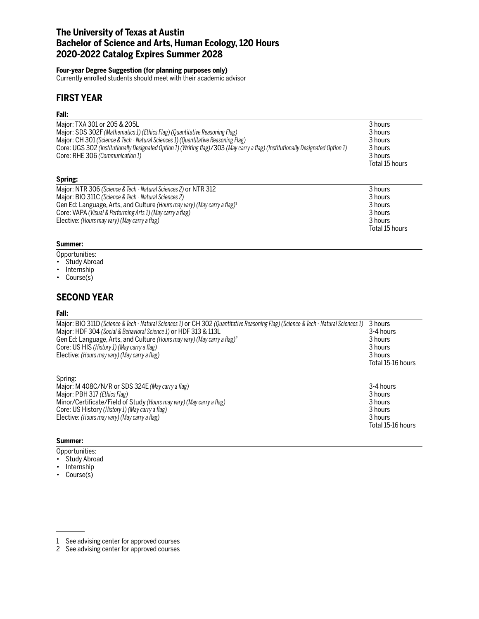# **The University of Texas at Austin Bachelor of Science and Arts, Human Ecology, 120 Hours 2020-2022 Catalog Expires Summer 2028**

## **Four-year Degree Suggestion (for planning purposes only)**

Currently enrolled students should meet with their academic advisor

# **FIRST YEAR**

## **Fall:**

| Major: TXA 301 or 205 & 205L<br>Major: SDS 302F (Mathematics 1) (Ethics Flag) (Quantitative Reasoning Flag)<br>Major: CH 301 (Science & Tech - Natural Sciences 1) (Quantitative Reasoning Flag)<br>Core: UGS 302 (Institutionally Designated Option 1) (Writing flag)/303 (May carry a flag) (Institutionally Designated Option 1)<br>Core: RHE 306 (Communication 1) | 3 hours<br>3 hours<br>3 hours<br>3 hours<br>3 hours<br>Total 15 hours |
|------------------------------------------------------------------------------------------------------------------------------------------------------------------------------------------------------------------------------------------------------------------------------------------------------------------------------------------------------------------------|-----------------------------------------------------------------------|
| Spring:                                                                                                                                                                                                                                                                                                                                                                |                                                                       |
| Major: NTR 306 (Science & Tech - Natural Sciences 2) or NTR 312<br>Major: BIO 311C (Science & Tech - Natural Sciences 2)<br>Gen Ed: Language, Arts, and Culture (Hours may vary) (May carry a flag) <sup>1</sup><br>Core: VAPA (Visual & Performing Arts 1) (May carry a flag)<br>Elective: (Hours may vary) (May carry a flag)                                        | 3 hours<br>3 hours<br>3 hours<br>3 hours<br>3 hours<br>Total 15 hours |

## **Summer:**

- Opportunities:
- Study Abroad
- Internship
- Course(s)

# **SECOND YEAR**

### **Fall:**

| Major: BIO 311D (Science & Tech - Natural Sciences 1) or CH 302 (Quantitative Reasoning Flag) (Science & Tech - Natural Sciences 1) | 3 hours           |
|-------------------------------------------------------------------------------------------------------------------------------------|-------------------|
| Major: HDF 304 (Social & Behavioral Science 1) or HDF 313 & 113L                                                                    | 3-4 hours         |
| Gen Ed: Language, Arts, and Culture (Hours may vary) (May carry a flag) <sup>2</sup>                                                | 3 hours           |
| Core: US HIS (History 1) (May carry a flag)                                                                                         | 3 hours           |
| Elective: (Hours may vary) (May carry a flag)                                                                                       | 3 hours           |
|                                                                                                                                     | Total 15-16 hours |
| Spring:                                                                                                                             |                   |
| Major: M 408C/N/R or SDS 324E (May carry a flag)                                                                                    | 3-4 hours         |
| Major: PBH 317 (Ethics Flag)                                                                                                        | 3 hours           |
| Minor/Certificate/Field of Study (Hours may vary) (May carry a flag)                                                                | 3 hours           |
| Core: US History (History 1) (May carry a flag)                                                                                     | 3 hours           |
| Elective: (Hours may vary) (May carry a flag)                                                                                       | 3 hours           |
|                                                                                                                                     | Total 15-16 hours |

### **Summer:**

- Opportunities:
- Study Abroad
- Internship
- Course(s)

<sup>1</sup> See advising center for approved courses

<sup>2</sup> See advising center for approved courses